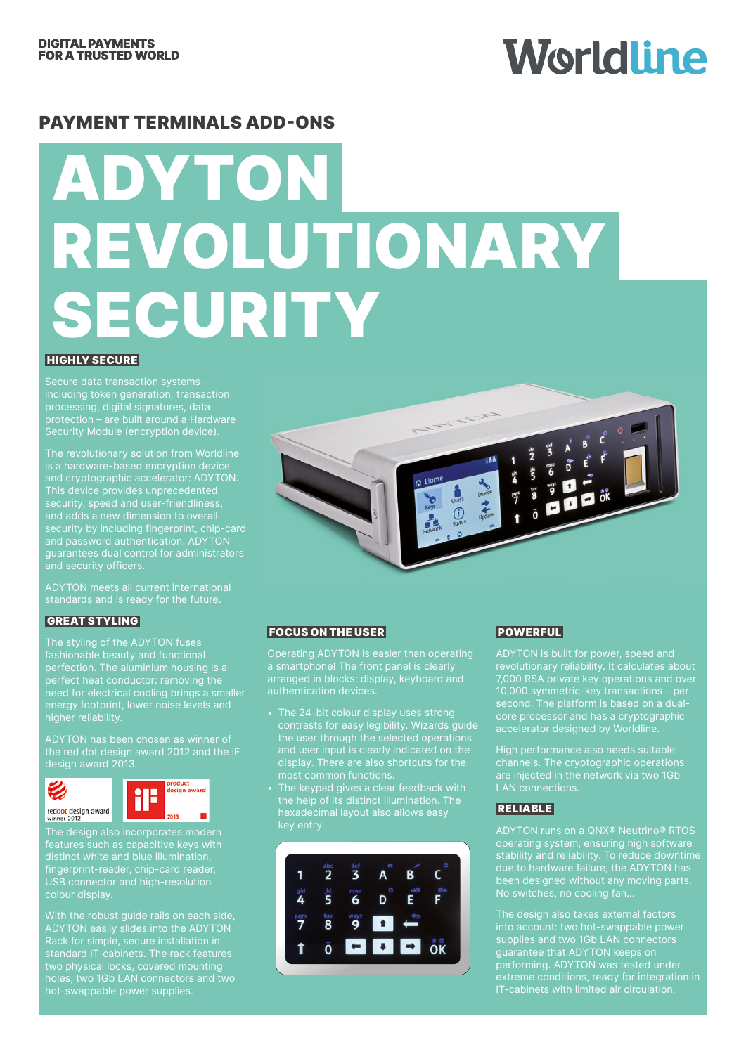## Worldline

#### PAYMENT TERMINALS ADD-ONS

# ADYTON REVOLUTIONARY SECURITY

#### **HIGHLY SECURE**

including token generation, transaction processing, digital signatures, data protection – are built around a Hardware Security Module (encryption device).

The revolutionary solution from Worldline and cryptographic accelerator: ADYTON. This device provides unprecedented security, speed and user-friendliness, and password authentication. ADYTON guarantees dual control for administrators and security officers.

ADYTON meets all current international standards and is ready for the future.

#### GREAT STYLING

The styling of the ADYTON fuses perfection. The aluminium housing is a perfect heat conductor: removing the need for electrical cooling brings a smaller energy footprint, lower noise levels and higher reliability.

ADYTON has been chosen as winner of the red dot design award 2012 and the iF design award 2013.





The design also incorporates modern features such as capacitive keys with distinct white and blue illumination, fingerprint-reader, chip-card reader, USB connector and high-resolution

With the robust guide rails on each side, ADYTON easily slides into the ADYTON standard IT-cabinets. The rack features two physical locks, covered mounting hot-swappable power supplies.



#### FOCUS ON THE USER

a smartphone! The front panel is clearly arranged in blocks: display, keyboard and

- contrasts for easy legibility. Wizards guide the user through the selected operations
- hexadecimal layout also allows easy



#### POWERFUL

ADYTON is built for power, speed and revolutionary reliability. It calculates about 7,000 RSA private key operations and over 10,000 symmetric-key transactions – per core processor and has a cryptographic accelerator designed by Worldline.

High performance also needs suitable channels. The cryptographic operations

#### RELIABLE

stability and reliability. To reduce downtime due to hardware failure, the ADYTON has been designed without any moving parts.

into account: two hot-swappable power supplies and two 1Gb LAN connectors supplies and the TOS ENTITS supplies extreme conditions, ready for integration in